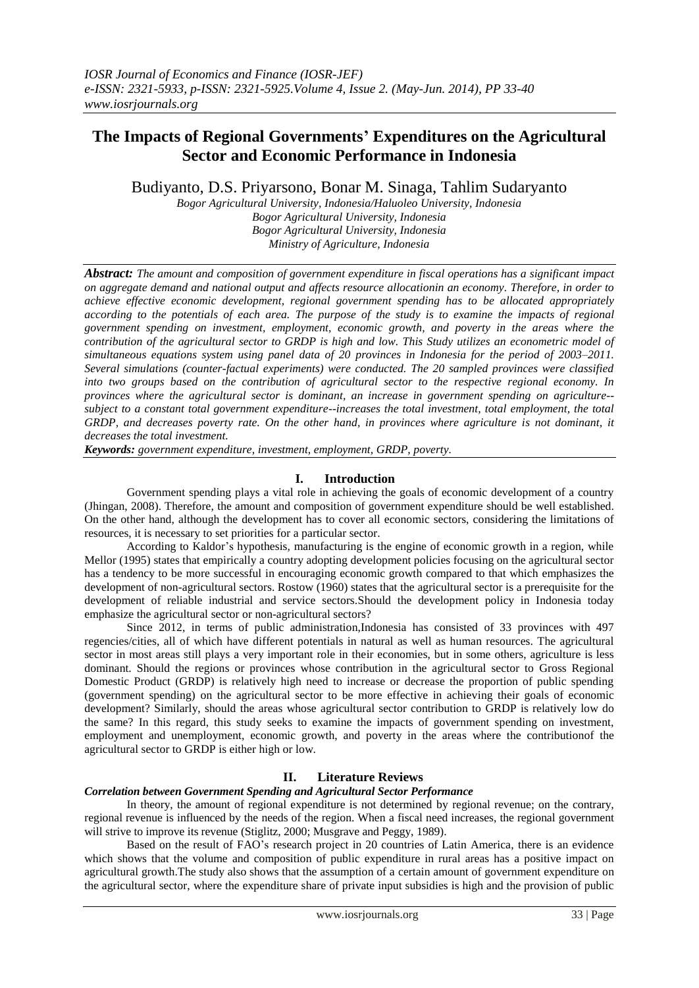# **The Impacts of Regional Governments' Expenditures on the Agricultural Sector and Economic Performance in Indonesia**

Budiyanto, D.S. Priyarsono, Bonar M. Sinaga, Tahlim Sudaryanto

*Bogor Agricultural University, Indonesia/Haluoleo University, Indonesia Bogor Agricultural University, Indonesia Bogor Agricultural University, Indonesia Ministry of Agriculture, Indonesia*

*Abstract: The amount and composition of government expenditure in fiscal operations has a significant impact on aggregate demand and national output and affects resource allocationin an economy. Therefore, in order to achieve effective economic development, regional government spending has to be allocated appropriately according to the potentials of each area. The purpose of the study is to examine the impacts of regional government spending on investment, employment, economic growth, and poverty in the areas where the contribution of the agricultural sector to GRDP is high and low. This Study utilizes an econometric model of simultaneous equations system using panel data of 20 provinces in Indonesia for the period of 2003–2011. Several simulations (counter-factual experiments) were conducted. The 20 sampled provinces were classified into two groups based on the contribution of agricultural sector to the respective regional economy. In provinces where the agricultural sector is dominant, an increase in government spending on agriculture- subject to a constant total government expenditure--increases the total investment, total employment, the total GRDP, and decreases poverty rate. On the other hand, in provinces where agriculture is not dominant, it decreases the total investment.* 

*Keywords: government expenditure, investment, employment, GRDP, poverty.*

# **I. Introduction**

Government spending plays a vital role in achieving the goals of economic development of a country (Jhingan, 2008). Therefore, the amount and composition of government expenditure should be well established. On the other hand, although the development has to cover all economic sectors, considering the limitations of resources, it is necessary to set priorities for a particular sector.

According to Kaldor's hypothesis, manufacturing is the engine of economic growth in a region, while Mellor (1995) states that empirically a country adopting development policies focusing on the agricultural sector has a tendency to be more successful in encouraging economic growth compared to that which emphasizes the development of non-agricultural sectors. Rostow (1960) states that the agricultural sector is a prerequisite for the development of reliable industrial and service sectors.Should the development policy in Indonesia today emphasize the agricultural sector or non-agricultural sectors?

Since 2012, in terms of public administration,Indonesia has consisted of 33 provinces with 497 regencies/cities, all of which have different potentials in natural as well as human resources. The agricultural sector in most areas still plays a very important role in their economies, but in some others, agriculture is less dominant. Should the regions or provinces whose contribution in the agricultural sector to Gross Regional Domestic Product (GRDP) is relatively high need to increase or decrease the proportion of public spending (government spending) on the agricultural sector to be more effective in achieving their goals of economic development? Similarly, should the areas whose agricultural sector contribution to GRDP is relatively low do the same? In this regard, this study seeks to examine the impacts of government spending on investment, employment and unemployment, economic growth, and poverty in the areas where the contributionof the agricultural sector to GRDP is either high or low.

# **II. Literature Reviews**

# *Correlation between Government Spending and Agricultural Sector Performance*

In theory, the amount of regional expenditure is not determined by regional revenue; on the contrary, regional revenue is influenced by the needs of the region. When a fiscal need increases, the regional government will strive to improve its revenue (Stiglitz, 2000; Musgrave and Peggy, 1989).

Based on the result of FAO's research project in 20 countries of Latin America, there is an evidence which shows that the volume and composition of public expenditure in rural areas has a positive impact on agricultural growth.The study also shows that the assumption of a certain amount of government expenditure on the agricultural sector, where the expenditure share of private input subsidies is high and the provision of public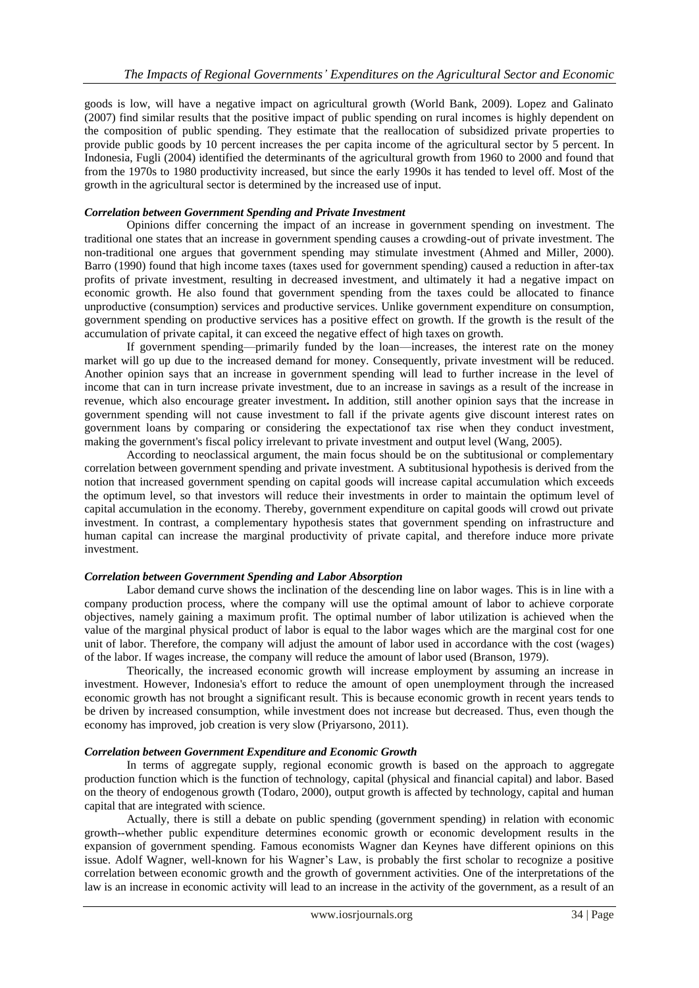goods is low, will have a negative impact on agricultural growth (World Bank, 2009). Lopez and Galinato (2007) find similar results that the positive impact of public spending on rural incomes is highly dependent on the composition of public spending. They estimate that the reallocation of subsidized private properties to provide public goods by 10 percent increases the per capita income of the agricultural sector by 5 percent. In Indonesia, Fugli (2004) identified the determinants of the agricultural growth from 1960 to 2000 and found that from the 1970s to 1980 productivity increased, but since the early 1990s it has tended to level off. Most of the growth in the agricultural sector is determined by the increased use of input.

# *Correlation between Government Spending and Private Investment*

Opinions differ concerning the impact of an increase in government spending on investment. The traditional one states that an increase in government spending causes a crowding-out of private investment. The non-traditional one argues that government spending may stimulate investment (Ahmed and Miller, 2000). Barro (1990) found that high income taxes (taxes used for government spending) caused a reduction in after-tax profits of private investment, resulting in decreased investment, and ultimately it had a negative impact on economic growth. He also found that government spending from the taxes could be allocated to finance unproductive (consumption) services and productive services. Unlike government expenditure on consumption, government spending on productive services has a positive effect on growth. If the growth is the result of the accumulation of private capital, it can exceed the negative effect of high taxes on growth.

If government spending—primarily funded by the loan—increases, the interest rate on the money market will go up due to the increased demand for money. Consequently, private investment will be reduced. Another opinion says that an increase in government spending will lead to further increase in the level of income that can in turn increase private investment, due to an increase in savings as a result of the increase in revenue, which also encourage greater investment**.** In addition, still another opinion says that the increase in government spending will not cause investment to fall if the private agents give discount interest rates on government loans by comparing or considering the expectationof tax rise when they conduct investment, making the government's fiscal policy irrelevant to private investment and output level (Wang, 2005).

According to neoclassical argument, the main focus should be on the subtitusional or complementary correlation between government spending and private investment. A subtitusional hypothesis is derived from the notion that increased government spending on capital goods will increase capital accumulation which exceeds the optimum level, so that investors will reduce their investments in order to maintain the optimum level of capital accumulation in the economy. Thereby, government expenditure on capital goods will crowd out private investment. In contrast, a complementary hypothesis states that government spending on infrastructure and human capital can increase the marginal productivity of private capital, and therefore induce more private investment.

# *Correlation between Government Spending and Labor Absorption*

Labor demand curve shows the inclination of the descending line on labor wages. This is in line with a company production process, where the company will use the optimal amount of labor to achieve corporate objectives, namely gaining a maximum profit. The optimal number of labor utilization is achieved when the value of the marginal physical product of labor is equal to the labor wages which are the marginal cost for one unit of labor. Therefore, the company will adjust the amount of labor used in accordance with the cost (wages) of the labor. If wages increase, the company will reduce the amount of labor used (Branson, 1979).

Theorically, the increased economic growth will increase employment by assuming an increase in investment. However, Indonesia's effort to reduce the amount of open unemployment through the increased economic growth has not brought a significant result. This is because economic growth in recent years tends to be driven by increased consumption, while investment does not increase but decreased. Thus, even though the economy has improved, job creation is very slow (Priyarsono, 2011).

### *Correlation between Government Expenditure and Economic Growth*

In terms of aggregate supply, regional economic growth is based on the approach to aggregate production function which is the function of technology, capital (physical and financial capital) and labor. Based on the theory of endogenous growth (Todaro, 2000), output growth is affected by technology, capital and human capital that are integrated with science.

Actually, there is still a debate on public spending (government spending) in relation with economic growth--whether public expenditure determines economic growth or economic development results in the expansion of government spending. Famous economists Wagner dan Keynes have different opinions on this issue. Adolf Wagner, well-known for his Wagner's Law, is probably the first scholar to recognize a positive correlation between economic growth and the growth of government activities. One of the interpretations of the law is an increase in economic activity will lead to an increase in the activity of the government, as a result of an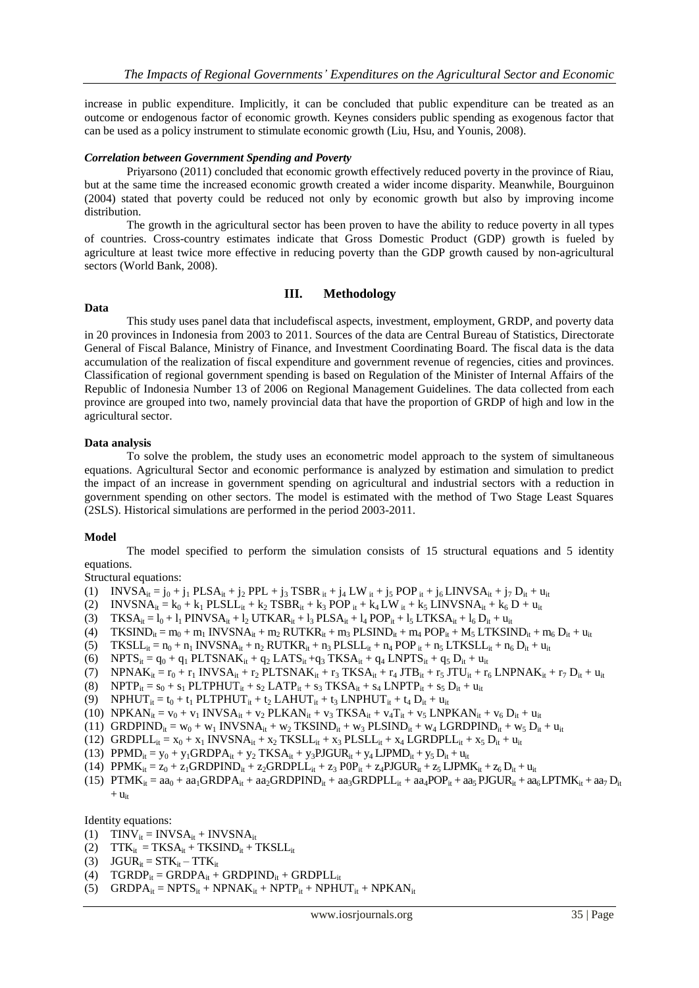increase in public expenditure. Implicitly, it can be concluded that public expenditure can be treated as an outcome or endogenous factor of economic growth. Keynes considers public spending as exogenous factor that can be used as a policy instrument to stimulate economic growth (Liu, Hsu, and Younis, 2008).

### *Correlation between Government Spending and Poverty*

Priyarsono (2011) concluded that economic growth effectively reduced poverty in the province of Riau, but at the same time the increased economic growth created a wider income disparity. Meanwhile, Bourguinon (2004) stated that poverty could be reduced not only by economic growth but also by improving income distribution.

The growth in the agricultural sector has been proven to have the ability to reduce poverty in all types of countries. Cross-country estimates indicate that Gross Domestic Product (GDP) growth is fueled by agriculture at least twice more effective in reducing poverty than the GDP growth caused by non-agricultural sectors (World Bank, 2008).

#### **Data**

# **III. Methodology**

This study uses panel data that includefiscal aspects, investment, employment, GRDP, and poverty data in 20 provinces in Indonesia from 2003 to 2011. Sources of the data are Central Bureau of Statistics, Directorate General of Fiscal Balance, Ministry of Finance, and Investment Coordinating Board. The fiscal data is the data accumulation of the realization of fiscal expenditure and government revenue of regencies, cities and provinces. Classification of regional government spending is based on Regulation of the Minister of Internal Affairs of the Republic of Indonesia Number 13 of 2006 on Regional Management Guidelines. The data collected from each province are grouped into two, namely provincial data that have the proportion of GRDP of high and low in the agricultural sector.

### **Data analysis**

To solve the problem, the study uses an econometric model approach to the system of simultaneous equations. Agricultural Sector and economic performance is analyzed by estimation and simulation to predict the impact of an increase in government spending on agricultural and industrial sectors with a reduction in government spending on other sectors. The model is estimated with the method of Two Stage Least Squares (2SLS). Historical simulations are performed in the period 2003-2011.

### **Model**

The model specified to perform the simulation consists of 15 structural equations and 5 identity equations.

Structural equations:

- (1) INVSA<sub>it</sub> = j<sub>0</sub> + j<sub>1</sub> PLSA<sub>it</sub> + j<sub>2</sub> PPL + j<sub>3</sub> TSBR<sub>it</sub> + j<sub>4</sub> LW<sub>it</sub> + j<sub>5</sub> POP<sub>it</sub> + j<sub>6</sub> LINVSA<sub>it</sub> + j<sub>7</sub> D<sub>it</sub> + u<sub>it</sub>
- (2) INVSNA<sub>it</sub> = k<sub>0</sub> + k<sub>1</sub> PLSLL<sub>it</sub> + k<sub>2</sub> TSBR<sub>it</sub> + k<sub>3</sub> POP <sub>it</sub> + k<sub>4</sub> LW<sub>it</sub> + k<sub>5</sub> LINVSNA<sub>it</sub> + k<sub>6</sub> D + u<sub>it</sub>
- (3) TKSA<sub>it</sub> =  $l_0$  +  $l_1$  PINVSA<sub>it</sub> +  $l_2$  UTKAR<sub>it</sub> +  $l_3$  PLSA<sub>it</sub> +  $l_4$  POP<sub>it</sub> +  $l_5$  LTKSA<sub>it</sub> +  $l_6$  D<sub>it</sub> +  $u_{it}$
- (4) TKSIND<sub>it</sub> = m<sub>0</sub> + m<sub>1</sub> INVSNA<sub>it</sub> + m<sub>2</sub> RUTKR<sub>it</sub> + m<sub>3</sub> PLSIND<sub>it</sub> + m<sub>4</sub> POP<sub>it</sub> + M<sub>5</sub> LTKSIND<sub>it</sub> + m<sub>6</sub> D<sub>it</sub> + u<sub>it</sub>
- (5)  $TKSLL_{it} = n_0 + n_1 INVSNA_{it} + n_2 RUTKR_{it} + n_3 PLSLL_{it} + n_4 POP_{it} + n_5 LTKSLL_{it} + n_6 D_{it} + u_{it}$
- (6) NPTS<sub>it</sub> =  $q_0 + q_1$  PLTSNAK<sub>it</sub> +  $q_2$  LATS<sub>it</sub> +  $q_3$  TKSA<sub>it</sub> +  $q_4$  LNPTS<sub>it</sub> +  $q_5$  D<sub>it</sub> +  $u_{it}$
- (7) NPNA $K_{it} = r_0 + r_1$  INVS $A_{it} + r_2$  PLTSNA $K_{it} + r_3$  TKS $A_{it} + r_4$  JTB<sub>it</sub> +  $r_5$  JTU<sub>it</sub> +  $r_6$  LNPNA $K_{it} + r_7$  D<sub>it</sub> +  $u_{it}$
- (8) NPTP<sub>it</sub> =  $s_0 + s_1$  PLTPHUT<sub>it</sub> +  $s_2$  LATP<sub>it</sub> +  $s_3$  TKSA<sub>it</sub> +  $s_4$  LNPTP<sub>it</sub> +  $s_5$  D<sub>it</sub> + u<sub>it</sub>
- (9) NPHUT<sub>it</sub> =  $t_0 + t_1$  PLTPHUT<sub>it</sub> +  $t_2$  LAHUT<sub>it</sub> +  $t_3$  LNPHUT<sub>it</sub> +  $t_4$  D<sub>it</sub> +  $u_{it}$
- (10) NPKAN<sub>it</sub> =  $v_0 + v_1$  INVSA<sub>it</sub> +  $v_2$  PLKAN<sub>it</sub> +  $v_3$  TKSA<sub>it</sub> +  $v_4$ T<sub>it</sub> +  $v_5$  LNPKAN<sub>it</sub> +  $v_6$  D<sub>it</sub> + u<sub>it</sub>
- (11) GRDPIND<sub>it</sub> = w<sub>0</sub> + w<sub>1</sub> INVSNA<sub>it</sub> + w<sub>2</sub> TKSIND<sub>it</sub> + w<sub>3</sub> PLSIND<sub>it</sub> + w<sub>4</sub> LGRDPIND<sub>it</sub> + w<sub>5</sub> D<sub>it</sub> + u<sub>it</sub>
- (12) GRDPL $L_{it} = x_0 + x_1 \text{ INVSNA}_{it} + x_2 \text{ TKSLL}_{it} + x_3 \text{PLSLL}_{it} + x_4 \text{LGRDPLL}_{it} + x_5 \text{D}_{it} + u_{it}$
- (13)  $PPMD_{it} = y_0 + y_1GRDPA_{it} + y_2 TKSA_{it} + y_3PJGUR_{it} + y_4 LIPMD_{it} + y_5 D_{it} + u_{it}$
- (14)  $PPMK_{it} = z_0 + z_1GRDPIND_{it} + z_2GRDPILL_{it} + z_3 POP_{it} + z_4 PJGUR_{it} + z_5 LIPMK_{it} + z_6 D_{it} + u_{it}$
- (15)  $PTMK_{it} = aa_0 + aa_1GRDPA_{it} + aa_2GRDPIND_{it} + aa_3GRDPIL_{it} + aa_4POP_{it} + aa_5 PJGUR_{it} + aa_6 LPTMK_{it} + aa_7 D_{it}$  $+$   $u_{it}$

Identity equations:

- (1)  $TINV_{it} = INVSA_{it} + INVSNA_{it}$
- (2)  $TTK_{it} = TKSA_{it} + TKSIND_{it} + TKSLL_{it}$
- (3)  $JGUR_{it} = STK_{it} TTK_{it}$
- (4)  $TGRDP_{it} = GRDPA_{it} + GRDPIND_{it} + GRDPLL_{it}$
- (5)  $GRDPA_{it} = NPTS_{it} + NPNAK_{it} + NPTP_{it} + NPHUT_{it} + NPKAN_{it}$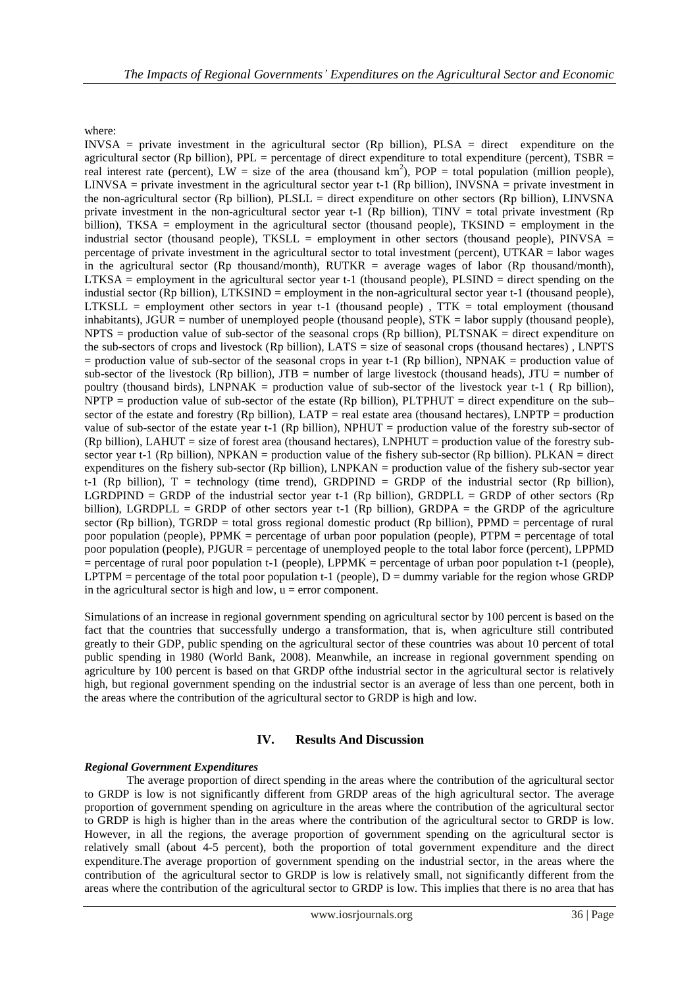where:

INVSA = private investment in the agricultural sector (Rp billion), PLSA = direct expenditure on the agricultural sector (Rp billion), PPL = percentage of direct expenditure to total expenditure (percent), TSBR = real interest rate (percent),  $LW = size$  of the area (thousand  $km^2$ ), POP = total population (million people), LINVSA = private investment in the agricultural sector year t-1 (Rp billion), INVSNA = private investment in the non-agricultural sector (Rp billion),  $PLSLL =$  direct expenditure on other sectors (Rp billion), LINVSNA private investment in the non-agricultural sector year t-1 (Rp billion), TINV = total private investment (Rp billion), TKSA = employment in the agricultural sector (thousand people), TKSIND = employment in the industrial sector (thousand people), TKSLL = employment in other sectors (thousand people), PINVSA = percentage of private investment in the agricultural sector to total investment (percent), UTKAR = labor wages in the agricultural sector (Rp thousand/month),  $RUTKR$  = average wages of labor (Rp thousand/month),  $LTKSA =$  employment in the agricultural sector year t-1 (thousand people),  $PLSIND =$  direct spending on the industial sector (Rp billion), LTKSIND = employment in the non-agricultural sector year t-1 (thousand people), LTKSLL = employment other sectors in year t-1 (thousand people),  $TTK = total$  employment (thousand inhabitants),  $JGUR =$  number of unemployed people (thousand people),  $STK =$  labor supply (thousand people),  $NPTS =$  production value of sub-sector of the seasonal crops  $(Rp \text{ billion})$ , PLTSNAK = direct expenditure on the sub-sectors of crops and livestock (Rp billion), LATS = size of seasonal crops (thousand hectares) , LNPTS  $=$  production value of sub-sector of the seasonal crops in year t-1 (Rp billion), NPNAK  $=$  production value of sub-sector of the livestock (Rp billion),  $JTB$  = number of large livestock (thousand heads),  $JTU$  = number of poultry (thousand birds), LNPNAK = production value of sub-sector of the livestock year t-1 ( Rp billion),  $NPTP$  = production value of sub-sector of the estate (Rp billion), PLTPHUT = direct expenditure on the sub– sector of the estate and forestry (Rp billion), LATP = real estate area (thousand hectares), LNPTP = production value of sub-sector of the estate year t-1 (Rp billion), NPHUT = production value of the forestry sub-sector of (Rp billion), LAHUT = size of forest area (thousand hectares), LNPHUT = production value of the forestry subsector year t-1 (Rp billion), NPKAN = production value of the fishery sub-sector (Rp billion). PLKAN = direct expenditures on the fishery sub-sector (Rp billion), LNPKAN = production value of the fishery sub-sector year t-1 (Rp billion),  $T =$  technology (time trend), GRDPIND = GRDP of the industrial sector (Rp billion), LGRDPIND = GRDP of the industrial sector year t-1 (Rp billion), GRDPLL = GRDP of other sectors (Rp billion), LGRDPLL = GRDP of other sectors year t-1 (Rp billion), GRDPA = the GRDP of the agriculture sector (Rp billion), TGRDP = total gross regional domestic product (Rp billion), PPMD = percentage of rural poor population (people), PPMK = percentage of urban poor population (people), PTPM = percentage of total poor population (people), PJGUR = percentage of unemployed people to the total labor force (percent), LPPMD = percentage of rural poor population t-1 (people), LPPMK = percentage of urban poor population t-1 (people), LPTPM = percentage of the total poor population t-1 (people),  $D =$  dummy variable for the region whose GRDP in the agricultural sector is high and low,  $u =$  error component.

Simulations of an increase in regional government spending on agricultural sector by 100 percent is based on the fact that the countries that successfully undergo a transformation, that is, when agriculture still contributed greatly to their GDP, public spending on the agricultural sector of these countries was about 10 percent of total public spending in 1980 (World Bank, 2008). Meanwhile, an increase in regional government spending on agriculture by 100 percent is based on that GRDP ofthe industrial sector in the agricultural sector is relatively high, but regional government spending on the industrial sector is an average of less than one percent, both in the areas where the contribution of the agricultural sector to GRDP is high and low.

# **IV. Results And Discussion**

# *Regional Government Expenditures*

The average proportion of direct spending in the areas where the contribution of the agricultural sector to GRDP is low is not significantly different from GRDP areas of the high agricultural sector. The average proportion of government spending on agriculture in the areas where the contribution of the agricultural sector to GRDP is high is higher than in the areas where the contribution of the agricultural sector to GRDP is low. However, in all the regions, the average proportion of government spending on the agricultural sector is relatively small (about 4-5 percent), both the proportion of total government expenditure and the direct expenditure.The average proportion of government spending on the industrial sector, in the areas where the contribution of the agricultural sector to GRDP is low is relatively small, not significantly different from the areas where the contribution of the agricultural sector to GRDP is low. This implies that there is no area that has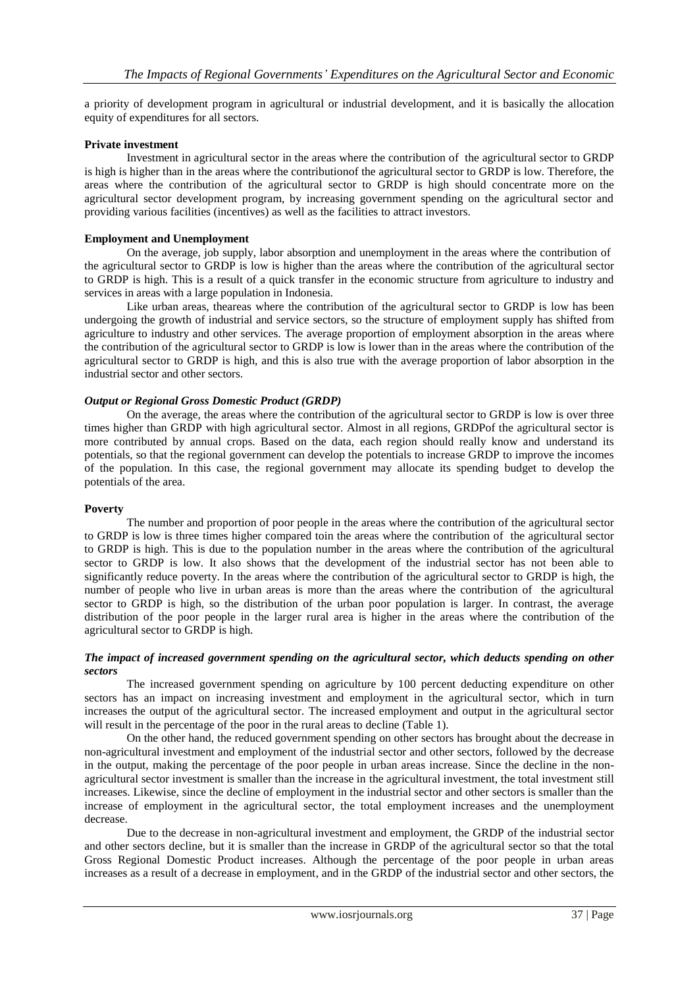a priority of development program in agricultural or industrial development, and it is basically the allocation equity of expenditures for all sectors.

### **Private investment**

Investment in agricultural sector in the areas where the contribution of the agricultural sector to GRDP is high is higher than in the areas where the contributionof the agricultural sector to GRDP is low. Therefore, the areas where the contribution of the agricultural sector to GRDP is high should concentrate more on the agricultural sector development program, by increasing government spending on the agricultural sector and providing various facilities (incentives) as well as the facilities to attract investors.

### **Employment and Unemployment**

On the average, job supply, labor absorption and unemployment in the areas where the contribution of the agricultural sector to GRDP is low is higher than the areas where the contribution of the agricultural sector to GRDP is high. This is a result of a quick transfer in the economic structure from agriculture to industry and services in areas with a large population in Indonesia.

Like urban areas, theareas where the contribution of the agricultural sector to GRDP is low has been undergoing the growth of industrial and service sectors, so the structure of employment supply has shifted from agriculture to industry and other services. The average proportion of employment absorption in the areas where the contribution of the agricultural sector to GRDP is low is lower than in the areas where the contribution of the agricultural sector to GRDP is high, and this is also true with the average proportion of labor absorption in the industrial sector and other sectors.

### *Output or Regional Gross Domestic Product (GRDP)*

On the average, the areas where the contribution of the agricultural sector to GRDP is low is over three times higher than GRDP with high agricultural sector. Almost in all regions, GRDPof the agricultural sector is more contributed by annual crops. Based on the data, each region should really know and understand its potentials, so that the regional government can develop the potentials to increase GRDP to improve the incomes of the population. In this case, the regional government may allocate its spending budget to develop the potentials of the area.

### **Poverty**

The number and proportion of poor people in the areas where the contribution of the agricultural sector to GRDP is low is three times higher compared toin the areas where the contribution of the agricultural sector to GRDP is high. This is due to the population number in the areas where the contribution of the agricultural sector to GRDP is low. It also shows that the development of the industrial sector has not been able to significantly reduce poverty. In the areas where the contribution of the agricultural sector to GRDP is high, the number of people who live in urban areas is more than the areas where the contribution of the agricultural sector to GRDP is high, so the distribution of the urban poor population is larger. In contrast, the average distribution of the poor people in the larger rural area is higher in the areas where the contribution of the agricultural sector to GRDP is high.

### *The impact of increased government spending on the agricultural sector, which deducts spending on other sectors*

The increased government spending on agriculture by 100 percent deducting expenditure on other sectors has an impact on increasing investment and employment in the agricultural sector, which in turn increases the output of the agricultural sector. The increased employment and output in the agricultural sector will result in the percentage of the poor in the rural areas to decline (Table 1).

On the other hand, the reduced government spending on other sectors has brought about the decrease in non-agricultural investment and employment of the industrial sector and other sectors, followed by the decrease in the output, making the percentage of the poor people in urban areas increase. Since the decline in the nonagricultural sector investment is smaller than the increase in the agricultural investment, the total investment still increases. Likewise, since the decline of employment in the industrial sector and other sectors is smaller than the increase of employment in the agricultural sector, the total employment increases and the unemployment decrease.

Due to the decrease in non-agricultural investment and employment, the GRDP of the industrial sector and other sectors decline, but it is smaller than the increase in GRDP of the agricultural sector so that the total Gross Regional Domestic Product increases. Although the percentage of the poor people in urban areas increases as a result of a decrease in employment, and in the GRDP of the industrial sector and other sectors, the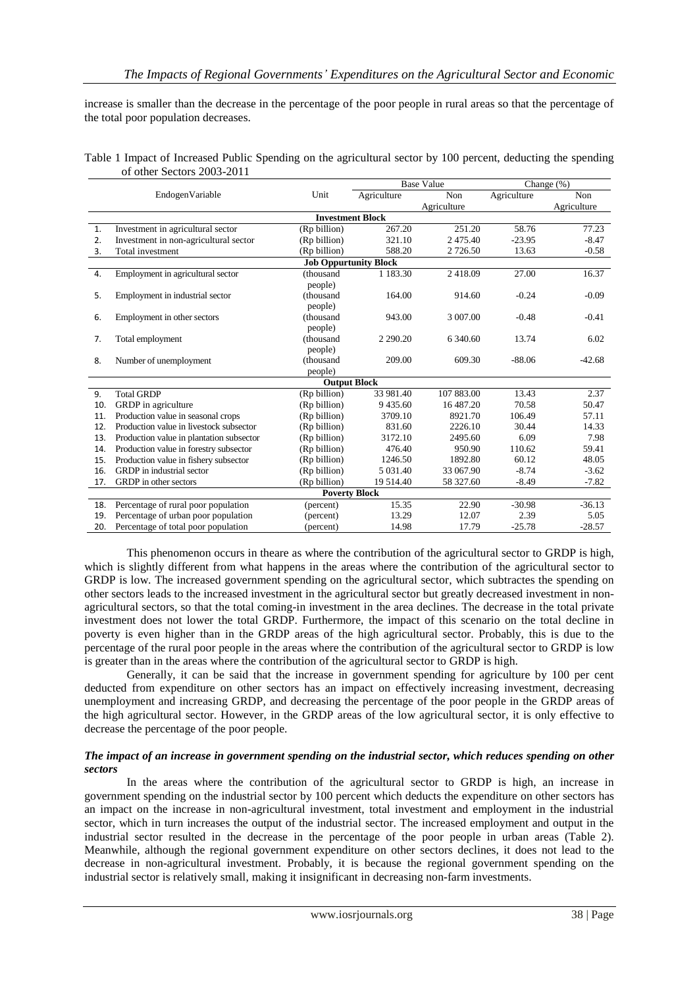increase is smaller than the decrease in the percentage of the poor people in rural areas so that the percentage of the total poor population decreases.

| Table 1 Impact of Increased Public Spending on the agricultural sector by 100 percent, deducting the spending |  |  |
|---------------------------------------------------------------------------------------------------------------|--|--|
| of other Sectors 2003-2011                                                                                    |  |  |

|                              |                                          |                     | <b>Base Value</b> |             | Change $(\%)$ |             |  |  |  |
|------------------------------|------------------------------------------|---------------------|-------------------|-------------|---------------|-------------|--|--|--|
|                              | EndogenVariable                          | Unit                | Agriculture       | Non         | Agriculture   | Non         |  |  |  |
|                              |                                          |                     |                   | Agriculture |               | Agriculture |  |  |  |
| <b>Investment Block</b>      |                                          |                     |                   |             |               |             |  |  |  |
| 1.                           | Investment in agricultural sector        | (Rp billion)        | 267.20            | 251.20      | 58.76         | 77.23       |  |  |  |
| 2.                           | Investment in non-agricultural sector    | (Rp billion)        | 321.10            | 2 475.40    | $-23.95$      | $-8.47$     |  |  |  |
| 3.                           | Total investment                         | (Rp billion)        | 588.20            | 2 726.50    | 13.63         | $-0.58$     |  |  |  |
| <b>Job Oppurtunity Block</b> |                                          |                     |                   |             |               |             |  |  |  |
| 4.                           | Employment in agricultural sector        | (thousand           | 1 1 8 3 . 3 0     | 2418.09     | 27.00         | 16.37       |  |  |  |
|                              |                                          | people)             |                   |             |               |             |  |  |  |
| 5.                           | Employment in industrial sector          | (thousand           | 164.00            | 914.60      | $-0.24$       | $-0.09$     |  |  |  |
|                              |                                          | people)             |                   |             |               |             |  |  |  |
| 6.                           | Employment in other sectors              | (thousand           | 943.00            | 3 007.00    | $-0.48$       | $-0.41$     |  |  |  |
|                              |                                          | people)             |                   |             |               |             |  |  |  |
| 7.                           | Total employment                         | (thousand           | 2 2 9 0.2 0       | 6 340.60    | 13.74         | 6.02        |  |  |  |
|                              |                                          | people)             |                   |             |               |             |  |  |  |
| 8.                           | Number of unemployment                   | (thousand           | 209.00            | 609.30      | $-88.06$      | $-42.68$    |  |  |  |
|                              |                                          | people)             |                   |             |               |             |  |  |  |
|                              |                                          | <b>Output Block</b> |                   |             |               |             |  |  |  |
| 9.                           | <b>Total GRDP</b>                        | (Rp billion)        | 33 981.40         | 107 883.00  | 13.43         | 2.37        |  |  |  |
| 10.                          | GRDP in agriculture                      | (Rp billion)        | 9435.60           | 16 487.20   | 70.58         | 50.47       |  |  |  |
| 11.                          | Production value in seasonal crops       | (Rp billion)        | 3709.10           | 8921.70     | 106.49        | 57.11       |  |  |  |
| 12.                          | Production value in livestock subsector  | (Rp billion)        | 831.60            | 2226.10     | 30.44         | 14.33       |  |  |  |
| 13.                          | Production value in plantation subsector | (Rp billion)        | 3172.10           | 2495.60     | 6.09          | 7.98        |  |  |  |
| 14.                          | Production value in forestry subsector   | (Rp billion)        | 476.40            | 950.90      | 110.62        | 59.41       |  |  |  |
| 15.                          | Production value in fishery subsector    | (Rp billion)        | 1246.50           | 1892.80     | 60.12         | 48.05       |  |  |  |
| 16.                          | GRDP in industrial sector                | (Rp billion)        | 5 0 3 1 .40       | 33 067.90   | $-8.74$       | $-3.62$     |  |  |  |
| 17.                          | GRDP in other sectors                    | (Rp billion)        | 19 514.40         | 58 327.60   | $-8.49$       | $-7.82$     |  |  |  |
| <b>Poverty Block</b>         |                                          |                     |                   |             |               |             |  |  |  |
| 18.                          | Percentage of rural poor population      | (percent)           | 15.35             | 22.90       | $-30.98$      | $-36.13$    |  |  |  |
| 19.                          | Percentage of urban poor population      | (percent)           | 13.29             | 12.07       | 2.39          | 5.05        |  |  |  |
| 20.                          | Percentage of total poor population      | (percent)           | 14.98             | 17.79       | $-25.78$      | $-28.57$    |  |  |  |

This phenomenon occurs in theare as where the contribution of the agricultural sector to GRDP is high, which is slightly different from what happens in the areas where the contribution of the agricultural sector to GRDP is low. The increased government spending on the agricultural sector, which subtractes the spending on other sectors leads to the increased investment in the agricultural sector but greatly decreased investment in nonagricultural sectors, so that the total coming-in investment in the area declines. The decrease in the total private investment does not lower the total GRDP. Furthermore, the impact of this scenario on the total decline in poverty is even higher than in the GRDP areas of the high agricultural sector. Probably, this is due to the percentage of the rural poor people in the areas where the contribution of the agricultural sector to GRDP is low is greater than in the areas where the contribution of the agricultural sector to GRDP is high.

Generally, it can be said that the increase in government spending for agriculture by 100 per cent deducted from expenditure on other sectors has an impact on effectively increasing investment, decreasing unemployment and increasing GRDP, and decreasing the percentage of the poor people in the GRDP areas of the high agricultural sector. However, in the GRDP areas of the low agricultural sector, it is only effective to decrease the percentage of the poor people.

### *The impact of an increase in government spending on the industrial sector, which reduces spending on other sectors*

In the areas where the contribution of the agricultural sector to GRDP is high, an increase in government spending on the industrial sector by 100 percent which deducts the expenditure on other sectors has an impact on the increase in non-agricultural investment, total investment and employment in the industrial sector, which in turn increases the output of the industrial sector. The increased employment and output in the industrial sector resulted in the decrease in the percentage of the poor people in urban areas (Table 2). Meanwhile, although the regional government expenditure on other sectors declines, it does not lead to the decrease in non-agricultural investment. Probably, it is because the regional government spending on the industrial sector is relatively small, making it insignificant in decreasing non-farm investments.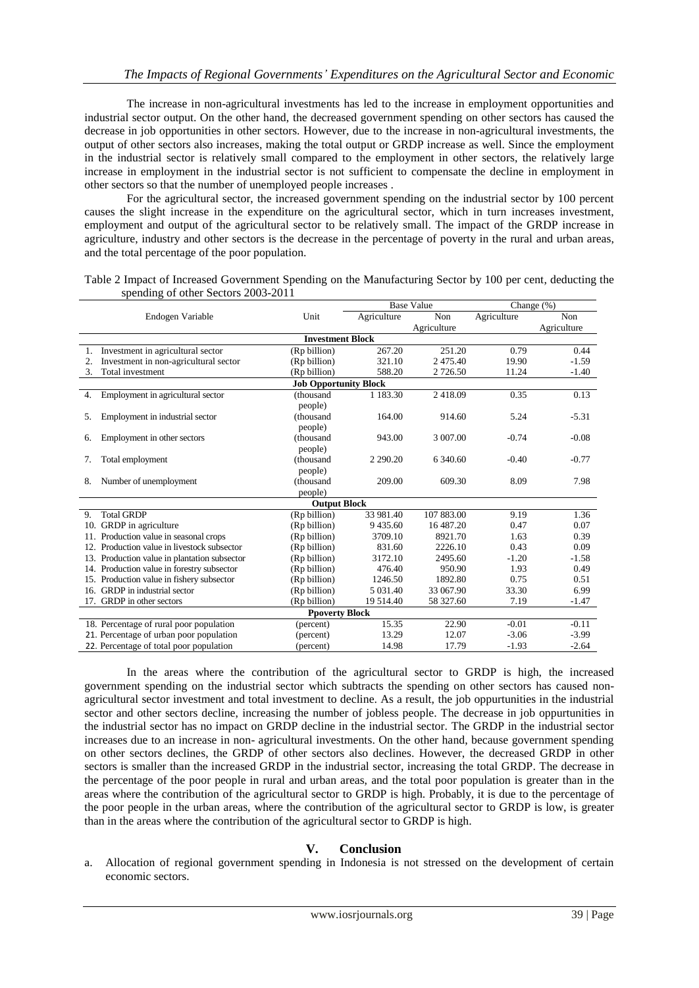The increase in non-agricultural investments has led to the increase in employment opportunities and industrial sector output. On the other hand, the decreased government spending on other sectors has caused the decrease in job opportunities in other sectors. However, due to the increase in non-agricultural investments, the output of other sectors also increases, making the total output or GRDP increase as well. Since the employment in the industrial sector is relatively small compared to the employment in other sectors, the relatively large increase in employment in the industrial sector is not sufficient to compensate the decline in employment in other sectors so that the number of unemployed people increases .

For the agricultural sector, the increased government spending on the industrial sector by 100 percent causes the slight increase in the expenditure on the agricultural sector, which in turn increases investment, employment and output of the agricultural sector to be relatively small. The impact of the GRDP increase in agriculture, industry and other sectors is the decrease in the percentage of poverty in the rural and urban areas, and the total percentage of the poor population.

Table 2 Impact of Increased Government Spending on the Manufacturing Sector by 100 per cent, deducting the spending of other Sectors 2003-2011

|                                              |                              | <b>Base Value</b> |             | Change $(\%)$ |             |  |  |  |
|----------------------------------------------|------------------------------|-------------------|-------------|---------------|-------------|--|--|--|
| Endogen Variable                             | Unit                         | Agriculture       | Non         | Agriculture   | Non         |  |  |  |
|                                              |                              |                   | Agriculture |               | Agriculture |  |  |  |
| <b>Investment Block</b>                      |                              |                   |             |               |             |  |  |  |
| Investment in agricultural sector<br>1.      | (Rp billion)                 | 267.20            | 251.20      | 0.79          | 0.44        |  |  |  |
| Investment in non-agricultural sector<br>2.  | (Rp billion)                 | 321.10            | 2475.40     | 19.90         | $-1.59$     |  |  |  |
| 3.<br>Total investment                       | (Rp billion)                 | 588.20            | 2 726.50    | 11.24         | $-1.40$     |  |  |  |
|                                              | <b>Job Opportunity Block</b> |                   |             |               |             |  |  |  |
| Employment in agricultural sector<br>4.      | (thousand                    | 1 1 8 3 . 3 0     | 2418.09     | 0.35          | 0.13        |  |  |  |
|                                              | people)                      |                   |             |               |             |  |  |  |
| Employment in industrial sector<br>5.        | (thousand                    | 164.00            | 914.60      | 5.24          | $-5.31$     |  |  |  |
|                                              | people)                      |                   |             |               |             |  |  |  |
| Employment in other sectors<br>6.            | (thousand                    | 943.00            | 3 007.00    | $-0.74$       | $-0.08$     |  |  |  |
|                                              | people)                      |                   |             |               |             |  |  |  |
| Total employment<br>7.                       | (thousand                    | 2 2 9 0.20        | 6 340.60    | $-0.40$       | $-0.77$     |  |  |  |
|                                              | people)                      |                   |             |               |             |  |  |  |
| Number of unemployment<br>8.                 | (thousand                    | 209.00            | 609.30      | 8.09          | 7.98        |  |  |  |
|                                              | people)                      |                   |             |               |             |  |  |  |
|                                              | <b>Output Block</b>          |                   |             |               |             |  |  |  |
| <b>Total GRDP</b><br>9.                      | (Rp billion)                 | 33 981.40         | 107 883.00  | 9.19          | 1.36        |  |  |  |
| 10. GRDP in agriculture                      | (Rp billion)                 | 9435.60           | 16 487.20   | 0.47          | 0.07        |  |  |  |
| 11. Production value in seasonal crops       | (Rp billion)                 | 3709.10           | 8921.70     | 1.63          | 0.39        |  |  |  |
| 12. Production value in livestock subsector  | (Rp billion)                 | 831.60            | 2226.10     | 0.43          | 0.09        |  |  |  |
| 13. Production value in plantation subsector | (Rp billion)                 | 3172.10           | 2495.60     | $-1.20$       | $-1.58$     |  |  |  |
| 14. Production value in forestry subsector   | (Rp billion)                 | 476.40            | 950.90      | 1.93          | 0.49        |  |  |  |
| 15. Production value in fishery subsector    | (Rp billion)                 | 1246.50           | 1892.80     | 0.75          | 0.51        |  |  |  |
| 16. GRDP in industrial sector                | (Rp billion)                 | 5 0 3 1 .40       | 33 067.90   | 33.30         | 6.99        |  |  |  |
| GRDP in other sectors<br>17.                 | (Rp billion)                 | 19 5 14.40        | 58 327.60   | 7.19          | $-1.47$     |  |  |  |
| <b>Ppoverty Block</b>                        |                              |                   |             |               |             |  |  |  |
| 18. Percentage of rural poor population      | (percent)                    | 15.35             | 22.90       | $-0.01$       | $-0.11$     |  |  |  |
| 21. Percentage of urban poor population      | (percent)                    | 13.29             | 12.07       | $-3.06$       | $-3.99$     |  |  |  |
| 22. Percentage of total poor population      | (percent)                    | 14.98             | 17.79       | $-1.93$       | $-2.64$     |  |  |  |

In the areas where the contribution of the agricultural sector to GRDP is high, the increased government spending on the industrial sector which subtracts the spending on other sectors has caused nonagricultural sector investment and total investment to decline. As a result, the job oppurtunities in the industrial sector and other sectors decline, increasing the number of jobless people. The decrease in job oppurtunities in the industrial sector has no impact on GRDP decline in the industrial sector. The GRDP in the industrial sector increases due to an increase in non- agricultural investments. On the other hand, because government spending on other sectors declines, the GRDP of other sectors also declines. However, the decreased GRDP in other sectors is smaller than the increased GRDP in the industrial sector, increasing the total GRDP. The decrease in the percentage of the poor people in rural and urban areas, and the total poor population is greater than in the areas where the contribution of the agricultural sector to GRDP is high. Probably, it is due to the percentage of the poor people in the urban areas, where the contribution of the agricultural sector to GRDP is low, is greater than in the areas where the contribution of the agricultural sector to GRDP is high.

# **V. Conclusion**

a. Allocation of regional government spending in Indonesia is not stressed on the development of certain economic sectors.